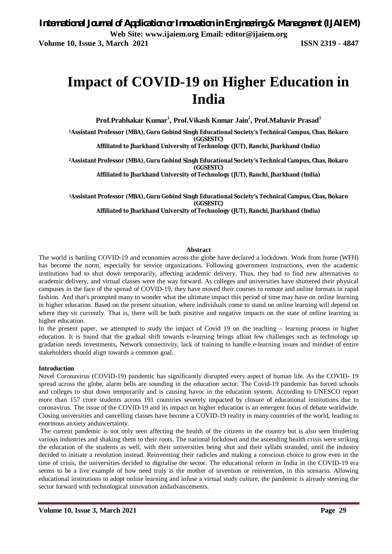# **Impact of COVID-19 on Higher Education in India**

**Prof.Prabhakar Kumar<sup>1</sup> , Prof.Vikash Kumar Jain<sup>2</sup> , Prof.Mahavir Prasad<sup>3</sup>**

**<sup>1</sup>Assistant Professor (MBA), Guru Gobind Singh Educational Society's Technical Campus, Chas, Bokaro (GGSESTC)**

**Affiliated to Jharkhand University of Technology (JUT), Ranchi, Jharkhand (India)**

**<sup>2</sup>Assistant Professor (MBA), Guru Gobind Singh Educational Society's Technical Campus, Chas, Bokaro (GGSESTC) Affiliated to Jharkhand University of Technology (JUT), Ranchi, Jharkhand (India)**

**<sup>3</sup>Assistant Professor (MBA), Guru Gobind Singh Educational Society's Technical Campus, Chas, Bokaro (GGSESTC) Affiliated to Jharkhand University of Technology (JUT), Ranchi, Jharkhand (India)**

#### **Abstract**

The world is battling COVID-19 and economies across the globe have declared a lockdown. Work from home (WFH) has become the norm, especially for service organizations. Following government instructions, even the academic institutions had to shut down temporarily, affecting academic delivery. Thus, they had to find new alternatives to academic delivery, and virtual classes were the way forward. As colleges and universities have shuttered their physical campuses in the face of the spread of COVID-19, they have moved their courses to remote and online formats in rapid fashion. And that's prompted many to wonder what the ultimate impact this period of time may have on online learning in higher education. Based on the present situation, where individuals come to stand on online learning will depend on where they sit currently. That is, there will be both positive and negative impacts on the state of online learning in higher education.

In the present paper, we attempted to study the impact of Covid 19 on the teaching – learning process in higher education. It is found that the gradual shift towards e-learning brings afloat few challenges such as technology up gradation needs investments, Network connectivity, lack of training to handle e-learning issues and mindset of entire stakeholders should align towards a common goal.

#### **Introduction**

Novel Coronavirus (COVID-19) pandemic has significantly disrupted every aspect of human life. As the COVID- 19 spread across the globe, alarm bells are sounding in the education sector. The Covid-19 pandemic has forced schools and colleges to shut down temporarily and is causing havoc in the education system. According to UNESCO report more than 157 crore students across 191 countries severely impacted by closure of educational institutions due to coronavirus. The issue of the COVID-19 and its impact on higher education is an emergent focus of debate worldwide. Closing universities and cancelling classes have become a COVID-19 reality in many countries of the world, leading to enormous anxiety anduncertainty.

The current pandemic is not only seen affecting the health of the citizens in the country but is also seen hindering various industries and shaking them to their roots. The national lockdown and the ascending health crisis were striking the education of the students as well, with their universities being shut and their syllabi stranded, until the industry decided to initiate a revolution instead. Reinventing their radicles and making a conscious choice to grow even in the time of crisis, the universities decided to digitalise the sector. The educational reform in India in the COVID-19 era seems to be a live example of how need truly is the mother of invention or reinvention, in this scenario. Allowing educational institutions to adopt online learning and infuse a virtual study culture, the pandemic is already steering the sector forward with technological innovation andadvancements.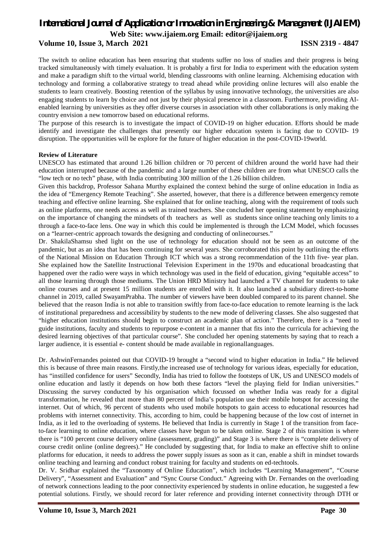## *International Journal of Application or Innovation in Engineering & Management (IJAIEM)*

**Web Site: www.ijaiem.org Email: editor@ijaiem.org**

#### **Volume 10, Issue 3, March 2021 ISSN 2319 - 4847**

The switch to online education has been ensuring that students suffer no loss of studies and their progress is being tracked simultaneously with timely evaluation. It is probably a first for India to experiment with the education system and make a paradigm shift to the virtual world, blending classrooms with online learning. Alchemising education with technology and forming a collaborative strategy to tread ahead while providing online lectures will also enable the students to learn creatively. Boosting retention of the syllabus by using innovative technology, the universities are also engaging students to learn by choice and not just by their physical presence in a classroom. Furthermore, providing AIenabled learning by universities as they offer diverse courses in association with other collaborations is only making the country envision a new tomorrow based on educational reforms.

The purpose of this research is to investigate the impact of COVID-19 on higher education. Efforts should be made identify and investigate the challenges that presently our higher education system is facing due to COVID- 19 disruption. The opportunities will be explore for the future of higher education in the post-COVID-19world.

#### **Review of Literature**

UNESCO has estimated that around 1.26 billion children or 70 percent of children around the world have had their education interrupted because of the pandemic and a large number of these children are from what UNESCO calls the "low tech or no tech" phase, with India contributing 300 million of the 1.26 billion children.

Given this backdrop, Professor Sahana Murthy explained the context behind the surge of online education in India as the idea of "Emergency Remote Teaching". She asserted, however, that there is a difference between emergency remote teaching and effective online learning. She explained that for online teaching, along with the requirement of tools such as online platforms, one needs access as well as trained teachers. She concluded her opening statement by emphasizing on the importance of changing the mindsets of th teachers as well as students since online teaching only limits to a through a face-to-face lens. One way in which this could be implemented is through the LCM Model, which focusses on a "learner-centric approach towards the designing and conducting of onlinecourses."

Dr. ShakilaShamsu shed light on the use of technology for education should not be seen as an outcome of the pandemic, but as an idea that has been continuing for several years. She corroborated this point by outlining the efforts of the National Mission on Education Through ICT which was a strong recommendation of the 11th five- year plan. She explained how the Satellite Instructional Television Experiment in the 1970s and educational broadcasting that happened over the radio were ways in which technology was used in the field of education, giving "equitable access" to all those learning through those mediums. The Union HRD Ministry had launched a TV channel for students to take online courses and at present 15 million students are enrolled with it. It also launched a subsidiary direct-to-home channel in 2019, called SwayamPrabha. The number of viewers have been doubled compared to its parent channel. She believed that the reason India is not able to transition swiftly from face-to-face education to remote learning is the lack of institutional preparedness and accessibility by students to the new mode of delivering classes. She also suggested that "higher education institutions should begin to construct an academic plan of action." Therefore, there is a "need to guide institutions, faculty and students to repurpose e-content in a manner that fits into the curricula for achieving the desired learning objectives of that particular course". She concluded her opening statements by saying that to reach a larger audience, it is essential e- content should be made available in regionallanguages.

Dr. AshwinFernandes pointed out that COVID-19 brought a "second wind to higher education in India." He believed this is because of three main reasons. Firstly,the increased use of technology for various ideas, especially for education, has "instilled confidence for users" Secondly, India has tried to follow the footsteps of UK, US and UNESCO models of online education and lastly it depends on how both these factors "level the playing field for Indian universities." Discussing the survey conducted by his organisation which focussed on whether India was ready for a digital transformation, he revealed that more than 80 percent of India's population use their mobile hotspot for accessing the internet. Out of which, 96 percent of students who used mobile hotspots to gain access to educational resources had problems with internet connectivity. This, according to him, could be happening because of the low cost of internet in India, as it led to the overloading of systems. He believed that India is currently in Stage 1 of the transition from faceto-face learning to online education, where classes have begun to be taken online. Stage 2 of this transition is where there is "100 percent course delivery online (assessment, grading)" and Stage 3 is where there is "complete delivery of course credit online (online degrees)." He concluded by suggesting that, for India to make an effective shift to online platforms for education, it needs to address the power supply issues as soon as it can, enable a shift in mindset towards online teaching and learning and conduct robust training for faculty and students on ed-techtools.

Dr. V. Sridhar explained the "Taxonomy of Online Education", which includes "Learning Management", "Course Delivery", "Assessment and Evaluation" and "Sync Course Conduct." Agreeing with Dr. Fernandes on the overloading of network connections leading to the poor connectivity experienced by students in online education, he suggested a few potential solutions. Firstly, we should record for later reference and providing internet connectivity through DTH or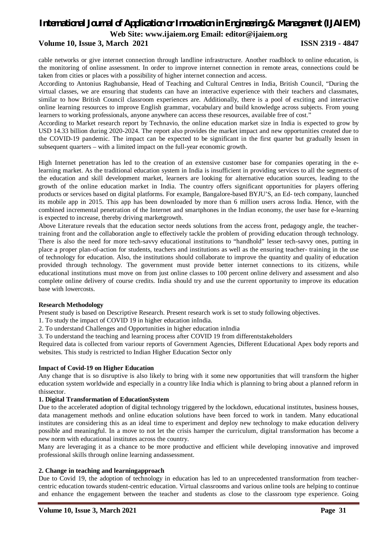### **Volume 10, Issue 3, March 2021 ISSN 2319 - 4847**

cable networks or give internet connection through landline infrastructure. Another roadblock to online education, is the monitoring of online assessment. In order to improve internet connection in remote areas, connections could be taken from cities or places with a possibility of higher internet connection and access.

According to Antonius Raghubansie, Head of Teaching and Cultural Centres in India, British Council, "During the virtual classes, we are ensuring that students can have an interactive experience with their teachers and classmates, similar to how British Council classroom experiences are. Additionally, there is a pool of exciting and interactive online learning resources to improve English grammar, vocabulary and build knowledge across subjects. From young learners to working professionals, anyone anywhere can access these resources, available free of cost."

According to Market research report by Technavio, the online education market size in India is expected to grow by USD 14.33 billion during 2020-2024. The report also provides the market impact and new opportunities created due to the COVID-19 pandemic. The impact can be expected to be significant in the first quarter but gradually lessen in subsequent quarters – with a limited impact on the full-year economic growth.

High Internet penetration has led to the creation of an extensive customer base for companies operating in the elearning market. As the traditional education system in India is insufficient in providing services to all the segments of the education and skill development market, learners are looking for alternative education sources, leading to the growth of the online education market in India. The country offers significant opportunities for players offering products or services based on digital platforms. For example, Bangalore-based BYJU'S, an Ed- tech company, launched its mobile app in 2015. This app has been downloaded by more than 6 million users across India. Hence, with the combined incremental penetration of the Internet and smartphones in the Indian economy, the user base for e-learning is expected to increase, thereby driving marketgrowth.

Above Literature reveals that the education sector needs solutions from the access front, pedagogy angle, the teachertraining front and the collaboration angle to effectively tackle the problem of providing education through technology. There is also the need for more tech-savvy educational institutions to "handhold" lesser tech-savvy ones, putting in place a proper plan-of-action for students, teachers and institutions as well as the ensuring teacher- training in the use of technology for education. Also, the institutions should collaborate to improve the quantity and quality of education provided through technology. The government must provide better internet connections to its citizens, while educational institutions must move on from just online classes to 100 percent online delivery and assessment and also complete online delivery of course credits. India should try and use the current opportunity to improve its education base with lowercosts.

#### **Research Methodology**

Present study is based on Descriptive Research. Present research work is set to study following objectives.

1. To study the impact of COVID 19 in higher education inIndia.

2. To understand Challenges and Opportunities in higher education inIndia

3. To understand the teaching and learning process after COVID 19 from differentstakeholders

Required data is collected from variour reports of Government Agencies, Different Educational Apex body reports and websites. This study is restricted to Indian Higher Education Sector only

#### **Impact of Covid-19 on Higher Education**

Any change that is so disruptive is also likely to bring with it some new opportunities that will transform the higher education system worldwide and especially in a country like India which is planning to bring about a planned reform in thissector.

#### **1. Digital Transformation of EducationSystem**

Due to the accelerated adoption of digital technology triggered by the lockdown, educational institutes, business houses, data management methods and online education solutions have been forced to work in tandem. Many educational institutes are considering this as an ideal time to experiment and deploy new technology to make education delivery possible and meaningful. In a move to not let the crisis hamper the curriculum, digital transformation has become a new norm with educational institutes across the country.

Many are leveraging it as a chance to be more productive and efficient while developing innovative and improved professional skills through online learning andassessment.

#### **2. Change in teaching and learningapproach**

Due to Covid 19, the adoption of technology in education has led to an unprecedented transformation from teachercentric education towards student-centric education. Virtual classrooms and various online tools are helping to continue and enhance the engagement between the teacher and students as close to the classroom type experience. Going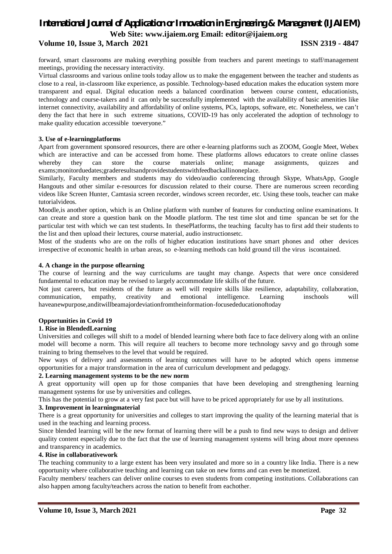#### **Volume 10, Issue 3, March 2021 ISSN 2319 - 4847**

forward, smart classrooms are making everything possible from teachers and parent meetings to staff/management meetings, providing the necessary interactivity.

Virtual classrooms and various online tools today allow us to make the engagement between the teacher and students as close to a real, in-classroom like experience, as possible. Technology-based education makes the education system more transparent and equal. Digital education needs a balanced coordination between course content, educationists, technology and course-takers and it can only be successfully implemented with the availability of basic amenities like internet connectivity, availability and affordability of online systems, PCs, laptops, software, etc. Nonetheless, we can't deny the fact that here in such extreme situations, COVID-19 has only accelerated the adoption of technology to make quality education accessible toeveryone."

#### **3. Use of e-learningplatforms**

Apart from government sponsored resources, there are other e-learning platforms such as ZOOM, Google Meet, Webex which are interactive and can be accessed from home. These platforms allows educators to create online classes whereby they can store the course materials online; manage assignments, quizzes and exams;monitorduedates;graderesultsandprovidestudentswithfeedbackallinoneplace.

Similarly, Faculty members and students may do video/audio conferencing through Skype, WhatsApp, Google Hangouts and other similar e-resources for discussion related to their course. There are numerous screen recording videos like Screen Hunter, Camtasia screen recorder, windows screen recorder, etc. Using these tools, teacher can make tutorialvideos.

Moodle,is another option, which is an Online platform with number of features for conducting online examinations. It can create and store a question bank on the Moodle platform. The test time slot and time spancan be set for the particular test with which we can test students. In thesePlatforms, the teaching faculty has to first add their students to the list and then upload their lectures, course material, audio instructionsetc.

Most of the students who are on the rolls of higher education institutions have smart phones and other devices irrespective of economic health in urban areas, so e-learning methods can hold ground till the virus iscontained.

#### **4. A change in the purpose oflearning**

The course of learning and the way curriculums are taught may change. Aspects that were once considered fundamental to education may be revised to largely accommodate life skills of the future.

Not just careers, but residents of the future as well will require skills like resilience, adaptability, collaboration, communication, empathy, creativity and emotional intelligence. Learning inschools will haveanewpurpose,anditwillbeamajordeviationfromtheinformation-focusededucationoftoday

#### **Opportunities in Covid 19**

#### **1. Rise in BlendedLearning**

Universities and colleges will shift to a model of blended learning where both face to face delivery along with an online model will become a norm. This will require all teachers to become more technology savvy and go through some training to bring themselves to the level that would be required.

New ways of delivery and assessments of learning outcomes will have to be adopted which opens immense opportunities for a major transformation in the area of curriculum development and pedagogy.

#### **2. Learning management systems to be the new norm**

A great opportunity will open up for those companies that have been developing and strengthening learning management systems for use by universities and colleges.

This has the potential to grow at a very fast pace but will have to be priced appropriately for use by all institutions.

#### **3. Improvement in learningmaterial**

There is a great opportunity for universities and colleges to start improving the quality of the learning material that is used in the teaching and learning process.

Since blended learning will be the new format of learning there will be a push to find new ways to design and deliver quality content especially due to the fact that the use of learning management systems will bring about more openness and transparency in academics.

#### **4. Rise in collaborativework**

The teaching community to a large extent has been very insulated and more so in a country like India. There is a new opportunity where collaborative teaching and learning can take on new forms and can even be monetized.

Faculty members/ teachers can deliver online courses to even students from competing institutions. Collaborations can also happen among faculty/teachers across the nation to benefit from eachother.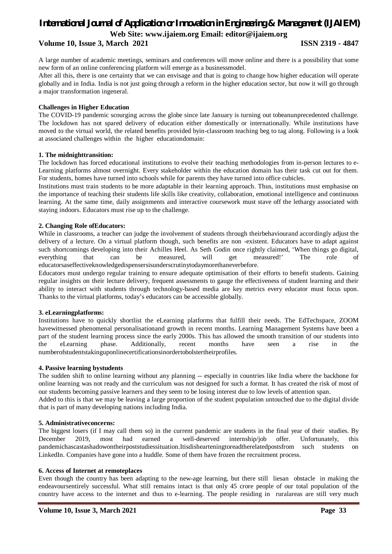#### **Volume 10, Issue 3, March 2021 ISSN 2319 - 4847**

A large number of academic meetings, seminars and conferences will move online and there is a possibility that some new form of an online conferencing platform will emerge as a businessmodel.

After all this, there is one certainty that we can envisage and that is going to change how higher education will operate globally and in India. India is not just going through a reform in the higher education sector, but now it will go through a major transformation ingeneral.

#### **Challenges in Higher Education**

The COVID-19 pandemic scourging across the globe since late January is turning out tobeanunprecedented challenge. The lockdown has not spared delivery of education either domestically or internationally. While institutions have moved to the virtual world, the related benefits provided byin-classroom teaching beg to tag along. Following is a look at associated challenges within the higher educationdomain:

### **1. The midnighttransition:**

The lockdown has forced educational institutions to evolve their teaching methodologies from in-person lectures to e-Learning platforms almost overnight. Every stakeholder within the education domain has their task cut out for them. For students, homes have turned into schools while for parents they have turned into office cubicles.

Institutions must train students to be more adaptable in their learning approach. Thus, institutions must emphasise on the importance of teaching their students life skills like creativity, collaboration, emotional intelligence and continuous learning. At the same time, daily assignments and interactive coursework must stave off the lethargy associated with staying indoors. Educators must rise up to the challenge.

#### **2. Changing Role ofEducators:**

While in classrooms, a teacher can judge the involvement of students through theirbehaviourand accordingly adjust the delivery of a lecture. On a virtual platform though, such benefits are non -existent. Educators have to adapt against such shortcomings developing into their Achilles Heel. As Seth Godin once rightly claimed, 'When things go digital, everything that can be measured, will get measured!' The role of educatorsaseffectiveknowledgedispensersisunderscrutinytodaymorethaneverbefore.

Educators must undergo regular training to ensure adequate optimisation of their efforts to benefit students. Gaining regular insights on their lecture delivery, frequent assessments to gauge the effectiveness of student learning and their ability to interact with students through technology-based media are key metrics every educator must focus upon. Thanks to the virtual platforms, today's educators can be accessible globally.

#### **3. eLearningplatforms:**

Institutions have to quickly shortlist the eLearning platforms that fulfill their needs. The EdTechspace, ZOOM havewitnessed phenomenal personalisationand growth in recent months. Learning Management Systems have been a part of the student learning process since the early 2000s. This has allowed the smooth transition of our students into the eLearning phase. Additionally, recent months have seen a rise in the numberofstudentstakinguponlinecertificationsinordertobolstertheirprofiles.

#### **4. Passive learning bystudents**

The sudden shift to online learning without any planning -- especially in countries like India where the backbone for online learning was not ready and the curriculum was not designed for such a format. It has created the risk of most of our students becoming passive learners and they seem to be losing interest due to low levels of attention span.

Added to this is that we may be leaving a large proportion of the student population untouched due to the digital divide that is part of many developing nations including India.

#### **5. Administrativeconcerns:**

The biggest losers (if I may call them so) in the current pandemic are students in the final year of their studies. By December 2019, most had earned a well-deserved internship/job offer. Unfortunately, this pandemichascastashadowontheirpoststudiessituation.Itisdishearteningtoreadtherelatedpostsfrom such students on LinkedIn. Companies have gone into a huddle. Some of them have frozen the recruitment process.

#### **6. Access of Internet at remoteplaces**

Even though the country has been adapting to the new-age learning, but there still liesan obstacle in making the endeavoursentirely successful. What still remains intact is that only 45 crore people of our total population of the country have access to the internet and thus to e-learning. The people residing in ruralareas are still very much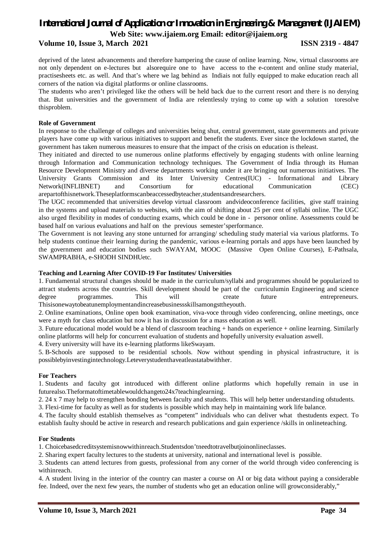#### **Volume 10, Issue 3, March 2021 ISSN 2319 - 4847**

deprived of the latest advancements and therefore hampering the cause of online learning. Now, virtual classrooms are not only dependent on e-lectures but alsorequire one to have access to the e-content and online study material, practisesheets etc. as well. And that's where we lag behind as Indiais not fully equipped to make education reach all corners of the nation via digital platforms or online classrooms.

The students who aren't privileged like the others will be held back due to the current resort and there is no denying that. But universities and the government of India are relentlessly trying to come up with a solution toresolve thisproblem.

#### **Role of Government**

In response to the challenge of colleges and universities being shut, central government, state governments and private players have come up with various initiatives to support and benefit the students. Ever since the lockdown started, the government has taken numerous measures to ensure that the impact of the crisis on education is theleast.

They initiated and directed to use numerous online platforms effectively by engaging students with online learning through Information and Communication technology techniques. The Government of India through its Human Resource Development Ministry and diverse departments working under it are bringing out numerous initiatives. The University Grants Commission and its Inter University Centres(IUC) - Informational and Library Network(INFLIBNET) and Consortium for educational Communication (CEC) arepartofthisnetwork.Theseplatformscanbeaccessedbyteacher,studentsandresearchers.

The UGC recommended that universities develop virtual classroom andvideoconference facilities, give staff training in the systems and upload materials to websites, with the aim of shifting about 25 per cent of syllabi online. The UGC also urged flexibility in modes of conducting exams, which could be done in - personor online. Assessments could be based half on various evaluations and half on the previous semester'sperformance.

The Government is not leaving any stone unturned for arranging/ scheduling study material via various platforms. To help students continue their learning during the pandemic, various e-learning portals and apps have been launched by the government and education bodies such SWAYAM, MOOC (Massive Open Online Courses), E-Pathsala, SWAMPRABHA, e-SHODH SINDHUetc.

#### **Teaching and Learning After COVID-19 For Institutes/ Universities**

1. Fundamental structural changes should be made in the curriculum/syllabi and programmes should be popularized to attract students across the countries. Skill development should be part of the curriculumin Engineering and science degree programmes. This will create future entrepreneurs. Thisisonewaytobeatunemploymentandincreasebusinessskillsamongsttheyouth.

2. Online examinations, Online open book examination, viva-voce through video conferencing, online meetings, once were a myth for class education but now it has in discussion for a mass education as well.

3. Future educational model would be a blend of classroom teaching + hands on experience + online learning. Similarly online platforms will help for concurrent evaluation of students and hopefully university evaluation aswell.

4. Every university will have its e-learning platforms likeSwayam.

5. B-Schools are supposed to be residential schools. Now without spending in physical infrastructure, it is possiblebyinvestingintechnology.Leteverystudenthaveatleastatabwithher.

#### **For Teachers**

1. Students and faculty got introduced with different online platforms which hopefully remain in use in futurealso.Theformatoftimetablewouldchangeto24x7teachinglearning.

2. 24 x 7 may help to strengthen bonding between faculty and students. This will help better understanding ofstudents.

3. Flexi-time for faculty as well as for students is possible which may help in maintaining work life balance.

4. The faculty should establish themselves as "competent" individuals who can deliver what thestudents expect. To establish faulty should be active in research and research publications and gain experience /skills in onlineteaching.

#### **For Students**

1. Choicebasedcreditsystemisnowwithinreach.Studentsdon'tneedtotravelbutjoinonlineclasses.

2. Sharing expert faculty lectures to the students at university, national and international level is possible.

3. Students can attend lectures from guests, professional from any corner of the world through video conferencing is withinreach.

4. A student living in the interior of the country can master a course on AI or big data without paying a considerable fee. Indeed, over the next few years, the number of students who get an education online will growconsiderably,"